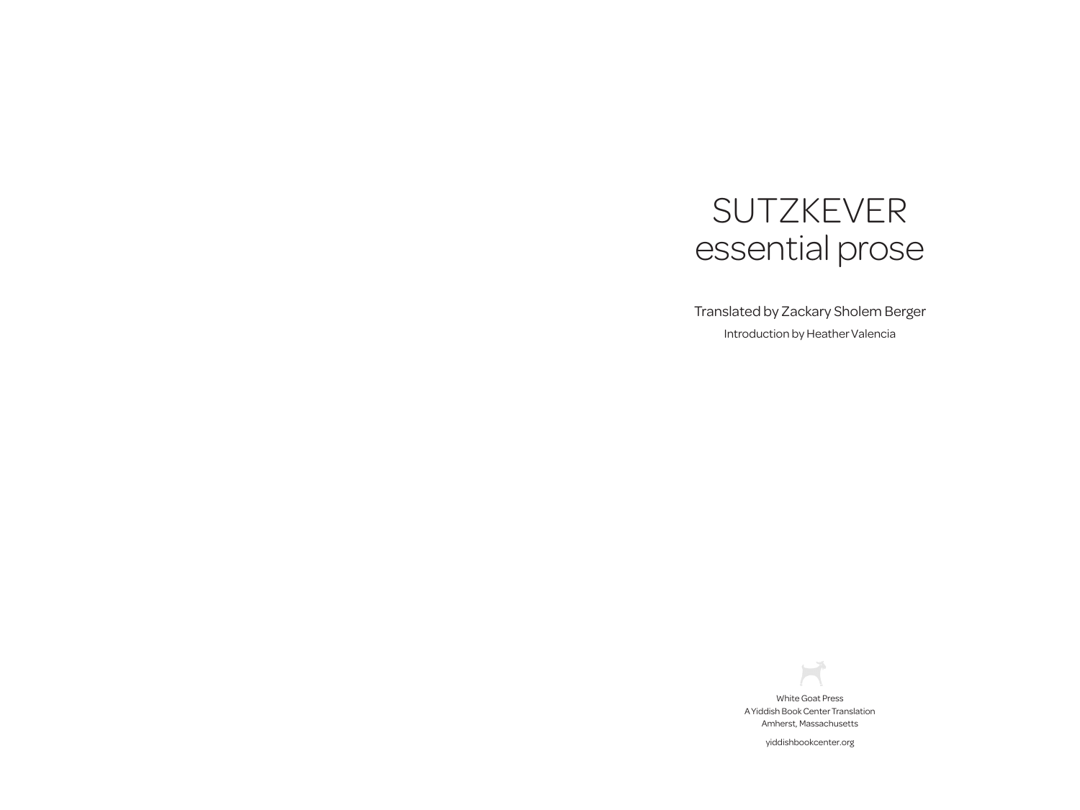# SUTZKEVER essential prose

Introduction by Heather Valencia Translated by Zackary Sholem Berger

White Goat Press A Yiddish Book Center Translation Amherst, Massachusetts

yiddishbookcenter.org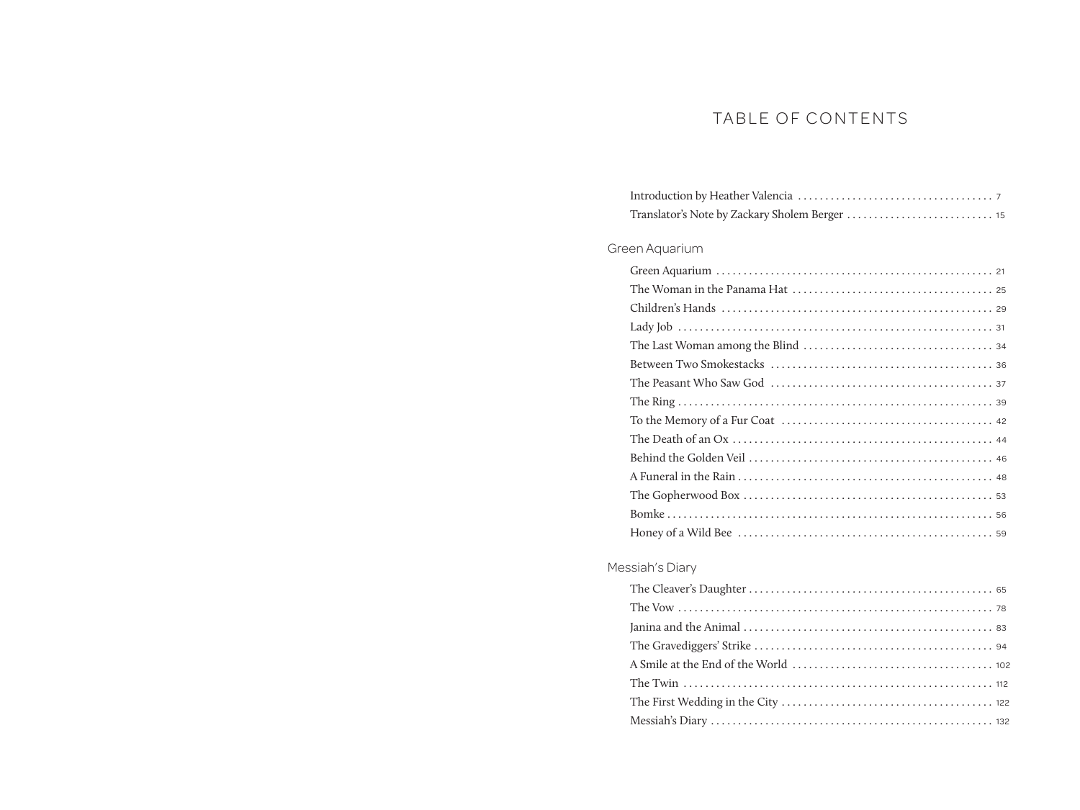# TABLE OF CONTENTS

| Green Aquarium |
|----------------|
|                |
|                |
|                |
|                |
|                |
|                |
|                |
|                |
|                |
|                |
|                |
|                |
|                |
|                |
|                |
|                |

## Messiah's Diary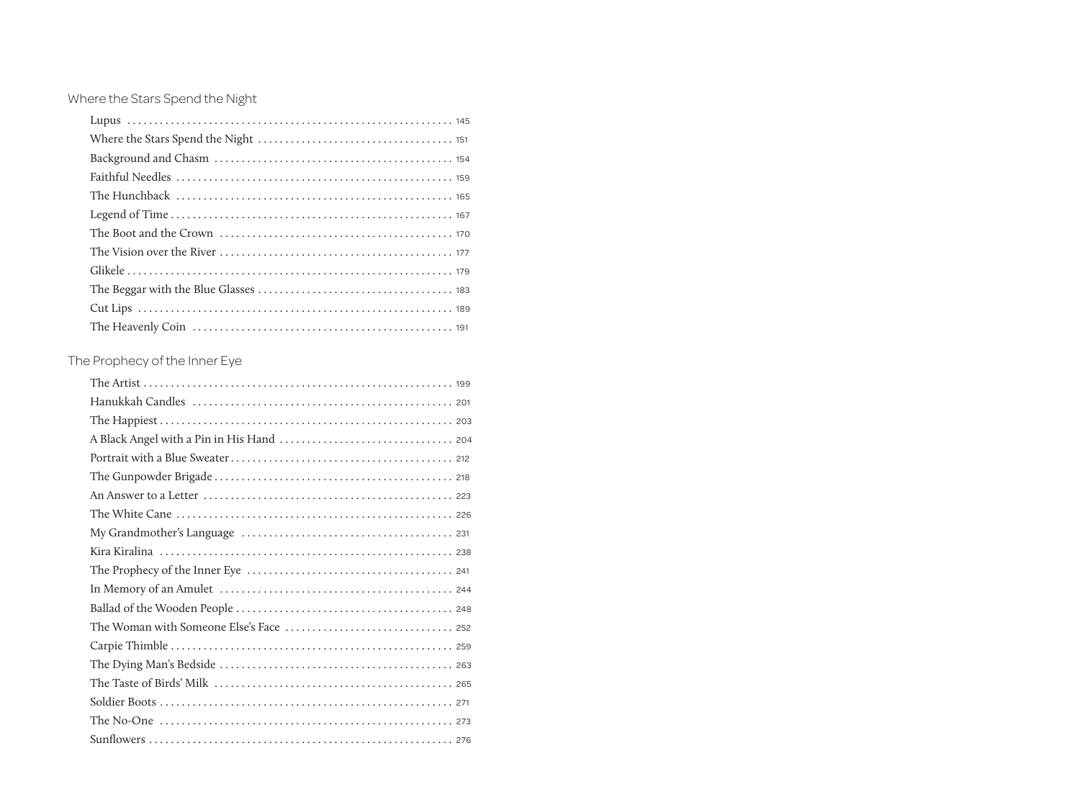Where the Stars Spend the Night

# The Prophecy of the Inner Eye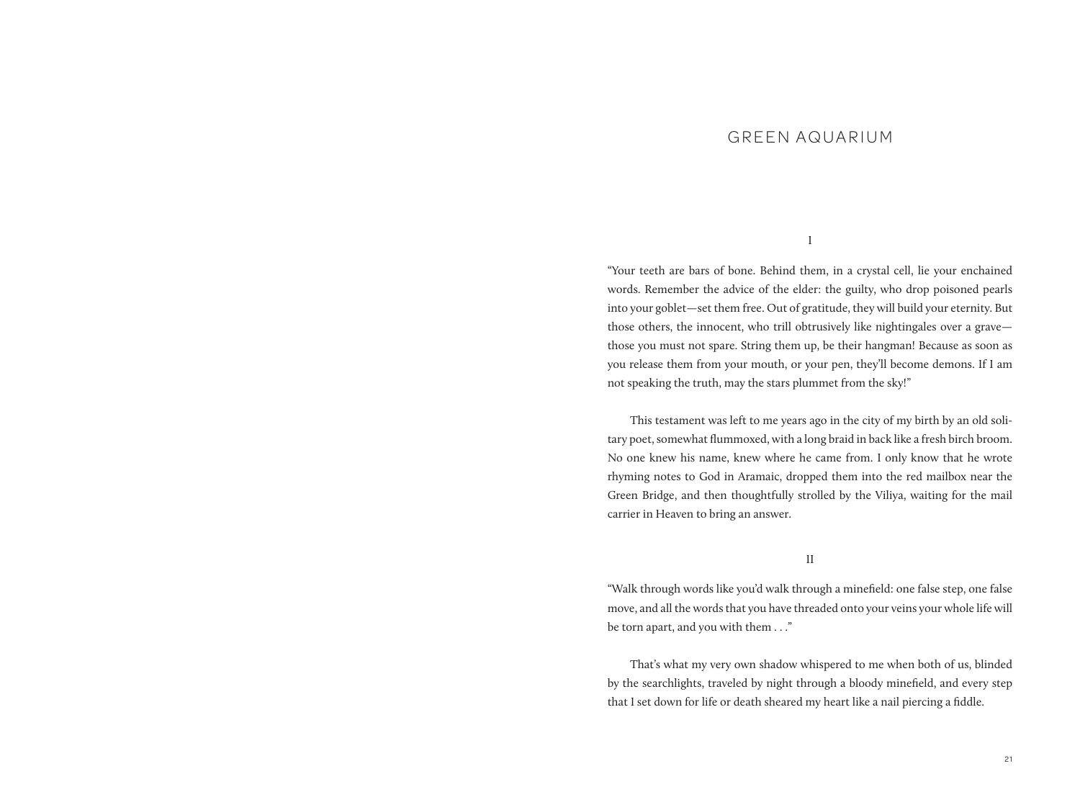### GREEN AQUARIUM

#### I

"Your teeth are bars of bone. Behind them, in a crystal cell, lie your enchained words. Remember the advice of the elder: the guilty, who drop poisoned pearls into your goblet—set them free. Out of gratitude, they will build your eternity. But those others, the innocent, who trill obtrusively like nightingales over a grave those you must not spare. String them up, be their hangman! Because as soon as you release them from your mouth, or your pen, they'll become demons. If I am not speaking the truth, may the stars plummet from the sky!"

This testament was left to me years ago in the city of my birth by an old solitary poet, somewhat flummoxed, with a long braid in back like a fresh birch broom. No one knew his name, knew where he came from. I only know that he wrote rhyming notes to God in Aramaic, dropped them into the red mailbox near the Green Bridge, and then thoughtfully strolled by the Viliya, waiting for the mail carrier in Heaven to bring an answer.

#### II

"Walk through words like you'd walk through a minefield: one false step, one false move, and all the words that you have threaded onto your veins your whole life will be torn apart, and you with them . . ."

That's what my very own shadow whispered to me when both of us, blinded by the searchlights, traveled by night through a bloody minefield, and every step that I set down for life or death sheared my heart like a nail piercing a fiddle.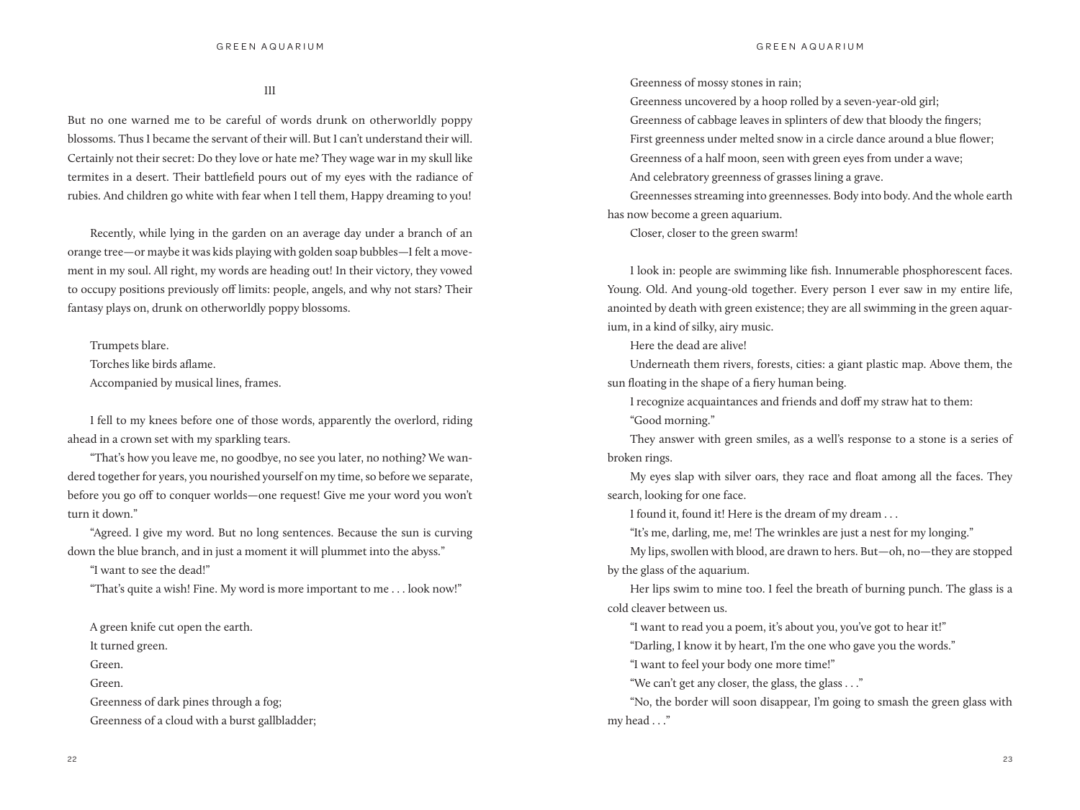III

But no one warned me to be careful of words drunk on otherworldly poppy blossoms. Thus I became the servant of their will. But I can't understand their will. Certainly not their secret: Do they love or hate me? They wage war in my skull like termites in a desert. Their battlefield pours out of my eyes with the radiance of rubies. And children go white with fear when I tell them, Happy dreaming to you!

Recently, while lying in the garden on an average day under a branch of an orange tree—or maybe it was kids playing with golden soap bubbles—I felt a movement in my soul. All right, my words are heading out! In their victory, they vowed to occupy positions previously off limits: people, angels, and why not stars? Their fantasy plays on, drunk on otherworldly poppy blossoms.

Trumpets blare. Torches like birds aflame. Accompanied by musical lines, frames.

I fell to my knees before one of those words, apparently the overlord, riding ahead in a crown set with my sparkling tears.

"That's how you leave me, no goodbye, no see you later, no nothing? We wandered together for years, you nourished yourself on my time, so before we separate, before you go off to conquer worlds—one request! Give me your word you won't turn it down."

"Agreed. I give my word. But no long sentences. Because the sun is curving down the blue branch, and in just a moment it will plummet into the abyss."

"I want to see the dead!"

"That's quite a wish! Fine. My word is more important to me . . . look now!"

A green knife cut open the earth. It turned green. Green. Green. Greenness of dark pines through a fog; Greenness of a cloud with a burst gallbladder; Greenness of mossy stones in rain;

Greenness uncovered by a hoop rolled by a seven-year-old girl;

Greenness of cabbage leaves in splinters of dew that bloody the fingers;

First greenness under melted snow in a circle dance around a blue flower;

Greenness of a half moon, seen with green eyes from under a wave;

And celebratory greenness of grasses lining a grave.

Greennesses streaming into greennesses. Body into body. And the whole earth has now become a green aquarium.

Closer, closer to the green swarm!

I look in: people are swimming like fish. Innumerable phosphorescent faces. Young. Old. And young-old together. Every person I ever saw in my entire life, anointed by death with green existence; they are all swimming in the green aquarium, in a kind of silky, airy music.

Here the dead are alive!

Underneath them rivers, forests, cities: a giant plastic map. Above them, the sun floating in the shape of a fiery human being.

I recognize acquaintances and friends and doff my straw hat to them:

"Good morning."

They answer with green smiles, as a well's response to a stone is a series of broken rings.

My eyes slap with silver oars, they race and float among all the faces. They search, looking for one face.

I found it, found it! Here is the dream of my dream . . .

"It's me, darling, me, me! The wrinkles are just a nest for my longing."

My lips, swollen with blood, are drawn to hers. But—oh, no—they are stopped by the glass of the aquarium.

Her lips swim to mine too. I feel the breath of burning punch. The glass is a cold cleaver between us.

"I want to read you a poem, it's about you, you've got to hear it!"

"Darling, I know it by heart, I'm the one who gave you the words."

"I want to feel your body one more time!"

"We can't get any closer, the glass, the glass . . ."

"No, the border will soon disappear, I'm going to smash the green glass with my head . . ."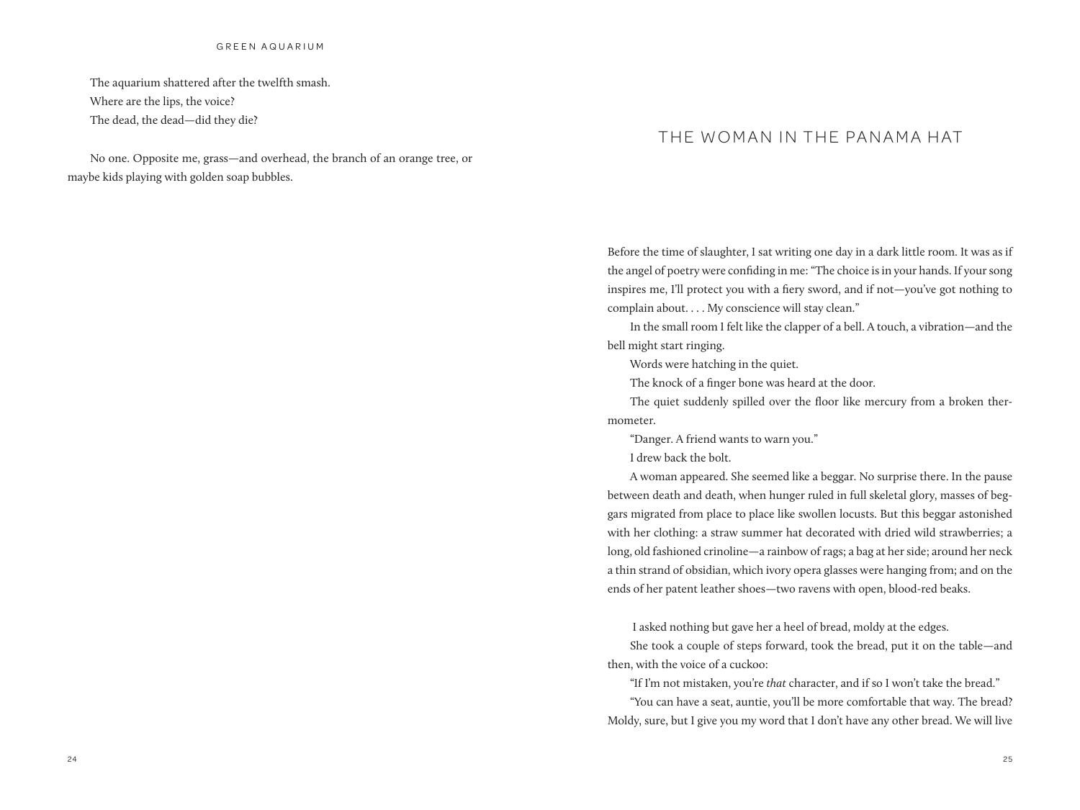#### GREEN AQUARIUM

The aquarium shattered after the twelfth smash. Where are the lips, the voice? The dead, the dead—did they die?

No one. Opposite me, grass—and overhead, the branch of an orange tree, or maybe kids playing with golden soap bubbles.

# THE WOMAN IN THE PANAMA HAT

Before the time of slaughter, I sat writing one day in a dark little room. It was as if the angel of poetry were confiding in me: "The choice is in your hands. If your song inspires me, I'll protect you with a fiery sword, and if not—you've got nothing to complain about. . . . My conscience will stay clean."

In the small room I felt like the clapper of a bell. A touch, a vibration—and the bell might start ringing.

Words were hatching in the quiet.

The knock of a finger bone was heard at the door.

The quiet suddenly spilled over the floor like mercury from a broken thermometer.

"Danger. A friend wants to warn you."

I drew back the bolt.

A woman appeared. She seemed like a beggar. No surprise there. In the pause between death and death, when hunger ruled in full skeletal glory, masses of beggars migrated from place to place like swollen locusts. But this beggar astonished with her clothing: a straw summer hat decorated with dried wild strawberries; a long, old fashioned crinoline—a rainbow of rags; a bag at her side; around her neck a thin strand of obsidian, which ivory opera glasses were hanging from; and on the ends of her patent leather shoes—two ravens with open, blood-red beaks.

I asked nothing but gave her a heel of bread, moldy at the edges.

She took a couple of steps forward, took the bread, put it on the table—and then, with the voice of a cuckoo:

"If I'm not mistaken, you're *that* character, and if so I won't take the bread."

"You can have a seat, auntie, you'll be more comfortable that way. The bread? Moldy, sure, but I give you my word that I don't have any other bread. We will live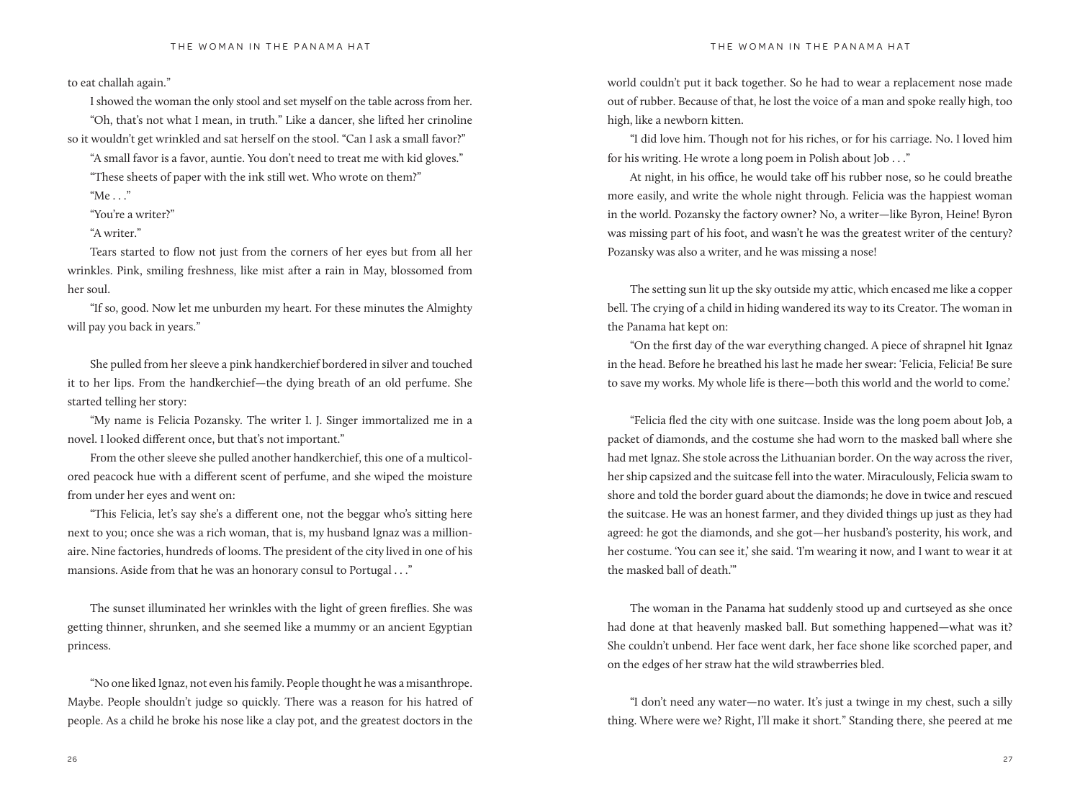#### to eat challah again."

I showed the woman the only stool and set myself on the table across from her. "Oh, that's not what I mean, in truth." Like a dancer, she lifted her crinoline so it wouldn't get wrinkled and sat herself on the stool. "Can I ask a small favor?"

"A small favor is a favor, auntie. You don't need to treat me with kid gloves." "These sheets of paper with the ink still wet. Who wrote on them?"

 $"Me..."$ 

"You're a writer?"

"A writer."

Tears started to flow not just from the corners of her eyes but from all her wrinkles. Pink, smiling freshness, like mist after a rain in May, blossomed from her soul.

"If so, good. Now let me unburden my heart. For these minutes the Almighty will pay you back in years."

She pulled from her sleeve a pink handkerchief bordered in silver and touched it to her lips. From the handkerchief—the dying breath of an old perfume. She started telling her story:

"My name is Felicia Pozansky. The writer I. J. Singer immortalized me in a novel. I looked different once, but that's not important."

From the other sleeve she pulled another handkerchief, this one of a multicolored peacock hue with a different scent of perfume, and she wiped the moisture from under her eyes and went on:

"This Felicia, let's say she's a different one, not the beggar who's sitting here next to you; once she was a rich woman, that is, my husband Ignaz was a millionaire. Nine factories, hundreds of looms. The president of the city lived in one of his mansions. Aside from that he was an honorary consul to Portugal . . ."

The sunset illuminated her wrinkles with the light of green fireflies. She was getting thinner, shrunken, and she seemed like a mummy or an ancient Egyptian princess.

"No one liked Ignaz, not even his family. People thought he was a misanthrope. Maybe. People shouldn't judge so quickly. There was a reason for his hatred of people. As a child he broke his nose like a clay pot, and the greatest doctors in the

world couldn't put it back together. So he had to wear a replacement nose made out of rubber. Because of that, he lost the voice of a man and spoke really high, too high, like a newborn kitten.

"I did love him. Though not for his riches, or for his carriage. No. I loved him for his writing. He wrote a long poem in Polish about Job . . ."

At night, in his office, he would take off his rubber nose, so he could breathe more easily, and write the whole night through. Felicia was the happiest woman in the world. Pozansky the factory owner? No, a writer—like Byron, Heine! Byron was missing part of his foot, and wasn't he was the greatest writer of the century? Pozansky was also a writer, and he was missing a nose!

The setting sun lit up the sky outside my attic, which encased me like a copper bell. The crying of a child in hiding wandered its way to its Creator. The woman in the Panama hat kept on:

"On the first day of the war everything changed. A piece of shrapnel hit Ignaz in the head. Before he breathed his last he made her swear: 'Felicia, Felicia! Be sure to save my works. My whole life is there—both this world and the world to come.'

"Felicia fled the city with one suitcase. Inside was the long poem about Job, a packet of diamonds, and the costume she had worn to the masked ball where she had met Ignaz. She stole across the Lithuanian border. On the way across the river, her ship capsized and the suitcase fell into the water. Miraculously, Felicia swam to shore and told the border guard about the diamonds; he dove in twice and rescued the suitcase. He was an honest farmer, and they divided things up just as they had agreed: he got the diamonds, and she got—her husband's posterity, his work, and her costume. 'You can see it,' she said. 'I'm wearing it now, and I want to wear it at the masked ball of death.'"

The woman in the Panama hat suddenly stood up and curtseyed as she once had done at that heavenly masked ball. But something happened—what was it? She couldn't unbend. Her face went dark, her face shone like scorched paper, and on the edges of her straw hat the wild strawberries bled.

"I don't need any water—no water. It's just a twinge in my chest, such a silly thing. Where were we? Right, I'll make it short." Standing there, she peered at me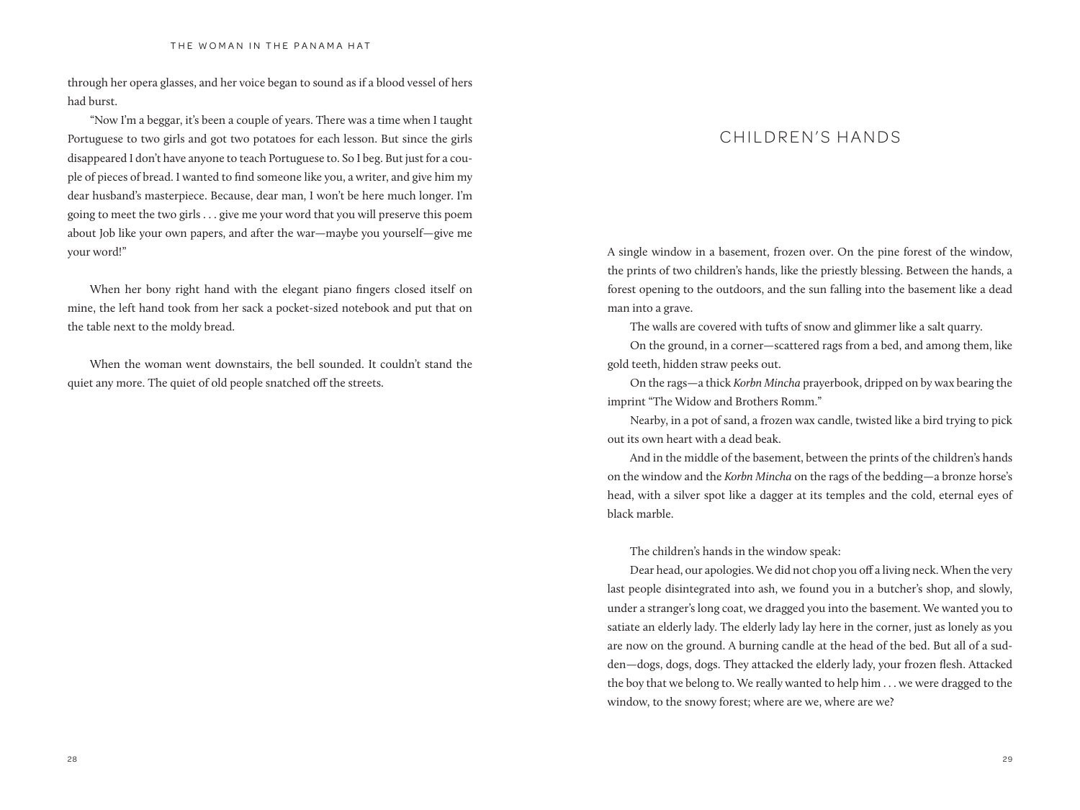through her opera glasses, and her voice began to sound as if a blood vessel of hers had burst.

"Now I'm a beggar, it's been a couple of years. There was a time when I taught Portuguese to two girls and got two potatoes for each lesson. But since the girls disappeared I don't have anyone to teach Portuguese to. So I beg. But just for a couple of pieces of bread. I wanted to find someone like you, a writer, and give him my dear husband's masterpiece. Because, dear man, I won't be here much longer. I'm going to meet the two girls . . . give me your word that you will preserve this poem about Job like your own papers, and after the war—maybe you yourself—give me your word!"

When her bony right hand with the elegant piano fingers closed itself on mine, the left hand took from her sack a pocket-sized notebook and put that on the table next to the moldy bread.

When the woman went downstairs, the bell sounded. It couldn't stand the quiet any more. The quiet of old people snatched off the streets.

## CHILDREN'S HANDS

A single window in a basement, frozen over. On the pine forest of the window, the prints of two children's hands, like the priestly blessing. Between the hands, a forest opening to the outdoors, and the sun falling into the basement like a dead man into a grave.

The walls are covered with tufts of snow and glimmer like a salt quarry.

On the ground, in a corner—scattered rags from a bed, and among them, like gold teeth, hidden straw peeks out.

On the rags—a thick *Korbn Mincha* prayerbook, dripped on by wax bearing the imprint "The Widow and Brothers Romm."

Nearby, in a pot of sand, a frozen wax candle, twisted like a bird trying to pick out its own heart with a dead beak.

And in the middle of the basement, between the prints of the children's hands on the window and the *Korbn Mincha* on the rags of the bedding—a bronze horse's head, with a silver spot like a dagger at its temples and the cold, eternal eyes of black marble.

The children's hands in the window speak:

Dear head, our apologies. We did not chop you off a living neck. When the very last people disintegrated into ash, we found you in a butcher's shop, and slowly, under a stranger's long coat, we dragged you into the basement. We wanted you to satiate an elderly lady. The elderly lady lay here in the corner, just as lonely as you are now on the ground. A burning candle at the head of the bed. But all of a sudden—dogs, dogs, dogs. They attacked the elderly lady, your frozen flesh. Attacked the boy that we belong to. We really wanted to help him . . . we were dragged to the window, to the snowy forest; where are we, where are we?